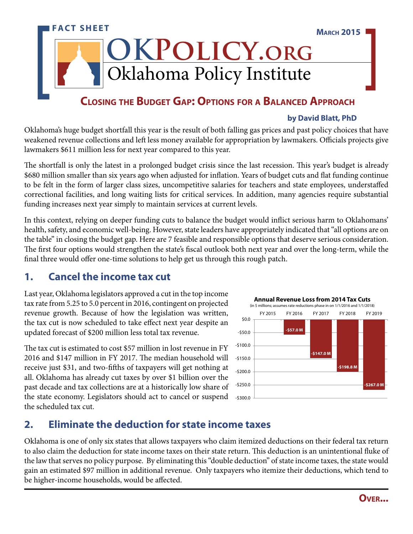# Oklahoma Policy Institute **FACT SHEET OKPolicy.org March 2015**

### **Closing the Budget Gap: Options for a Balanced Approach**

#### **by David Blatt, PhD**

Oklahoma's huge budget shortfall this year is the result of both falling gas prices and past policy choices that have weakened revenue collections and left less money available for appropriation by lawmakers. Officials projects give lawmakers \$611 million less for next year compared to this year.

The shortfall is only the latest in a prolonged budget crisis since the last recession. This year's budget is already \$680 million smaller than six years ago when adjusted for inflation. Years of budget cuts and flat funding continue to be felt in the form of larger class sizes, uncompetitive salaries for teachers and state employees, understaffed correctional facilities, and long waiting lists for critical services. In addition, many agencies require substantial funding increases next year simply to maintain services at current levels.

In this context, relying on deeper funding cuts to balance the budget would inflict serious harm to Oklahomans' health, safety, and economic well-being. However, state leaders have appropriately indicated that "all options are on the table" in closing the budget gap. Here are 7 feasible and responsible options that deserve serious consideration. The first four options would strengthen the state's fiscal outlook both next year and over the long-term, while the final three would offer one-time solutions to help get us through this rough patch.

#### **1. Cancel the income tax cut**

Last year, Oklahoma legislators approved a cut in the top income tax rate from 5.25 to 5.0 percent in 2016, contingent on projected revenue growth. Because of how the legislation was written, the tax cut is now scheduled to take effect next year despite an updated forecast of \$200 million less total tax revenue.

The tax cut is estimated to cost \$57 million in lost revenue in FY 2016 and \$147 million in FY 2017. The median household will receive just \$31, and two-fifths of taxpayers will get nothing at all. Oklahoma has already cut taxes by over \$1 billion over the past decade and tax collections are at a historically low share of the state economy. Legislators should act to cancel or suspend the scheduled tax cut.



### **2. Eliminate the deduction for state income taxes**

Oklahoma is one of only six states that allows taxpayers who claim itemized deductions on their federal tax return to also claim the deduction for state income taxes on their state return. This deduction is an unintentional fluke of the law that serves no policy purpose. By eliminating this "double deduction" of state income taxes, the state would gain an estimated \$97 million in additional revenue. Only taxpayers who itemize their deductions, which tend to be higher-income households, would be affected.